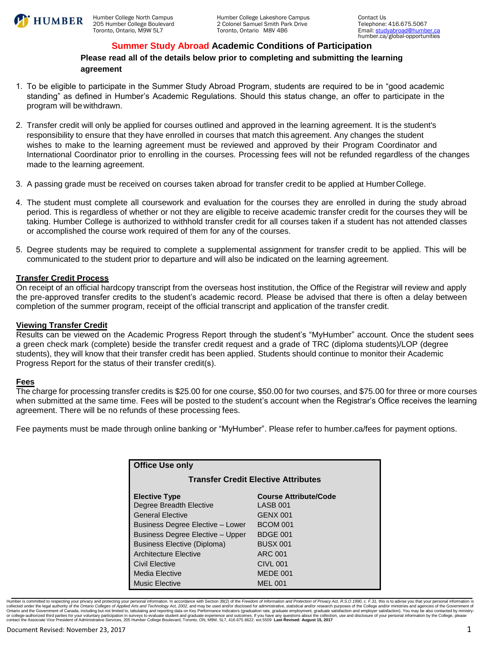

## **Summer Study Abroad Academic Conditions of Participation**

**Please read all of the details below prior to completing and submitting the learning agreement** 

- 1. To be eligible to participate in the Summer Study Abroad Program, students are required to be in "good academic standing" as defined in Humber's Academic Regulations. Should this status change, an offer to participate in the program will be withdrawn.
- 2. Transfer credit will only be applied for courses outlined and approved in the learning agreement. It is the student's responsibility to ensure that they have enrolled in courses that match this agreement. Any changes the student wishes to make to the learning agreement must be reviewed and approved by their Program Coordinator and International Coordinator prior to enrolling in the courses. Processing fees will not be refunded regardless of the changes made to the learning agreement.
- 3. A passing grade must be received on courses taken abroad for transfer credit to be applied at Humber College.
- 4. The student must complete all coursework and evaluation for the courses they are enrolled in during the study abroad period. This is regardless of whether or not they are eligible to receive academic transfer credit for the courses they will be taking. Humber College is authorized to withhold transfer credit for all courses taken if a student has not attended classes or accomplished the course work required of them for any of the courses.
- 5. Degree students may be required to complete a supplemental assignment for transfer credit to be applied. This will be communicated to the student prior to departure and will also be indicated on the learning agreement.

#### **Transfer Credit Process**

On receipt of an official hardcopy transcript from the overseas host institution, the Office of the Registrar will review and apply the pre-approved transfer credits to the student's academic record. Please be advised that there is often a delay between completion of the summer program, receipt of the official transcript and application of the transfer credit.

#### **Viewing Transfer Credit**

Results can be viewed on the Academic Progress Report through the student's "MyHumber" account. Once the student sees a green check mark (complete) beside the transfer credit request and a grade of TRC (diploma students)/LOP (degree students), they will know that their transfer credit has been applied. Students should continue to monitor their Academic Progress Report for the status of their transfer credit(s).

## **Fees**

The charge for processing transfer credits is \$25.00 for one course, \$50.00 for two courses, and \$75.00 for three or more courses when submitted at the same time. Fees will be posted to the student's account when the Registrar's Office receives the learning agreement. There will be no refunds of these processing fees.

Fee payments must be made through online banking or "MyHumber". Please refer to humber.ca/fees for payment options.

| <b>Office Use only</b>                     |                              |  |  |  |  |
|--------------------------------------------|------------------------------|--|--|--|--|
| <b>Transfer Credit Elective Attributes</b> |                              |  |  |  |  |
| <b>Elective Type</b>                       | <b>Course Attribute/Code</b> |  |  |  |  |
| Degree Breadth Elective                    | LASB 001                     |  |  |  |  |
| <b>General Elective</b>                    | <b>GENX 001</b>              |  |  |  |  |
| Business Degree Elective - Lower           | <b>BCOM 001</b>              |  |  |  |  |
| <b>Business Degree Elective - Upper</b>    | <b>BDGE 001</b>              |  |  |  |  |
| Business Elective (Diploma)                | <b>BUSX 001</b>              |  |  |  |  |
| Architecture Elective                      | ARC 001                      |  |  |  |  |
| Civil Elective                             | <b>CIVL 001</b>              |  |  |  |  |
| Media Elective                             | MEDE 001                     |  |  |  |  |
| <b>Music Elective</b>                      | <b>MEL 001</b>               |  |  |  |  |

Humber is committed to respecting your privacy and protecting your personal information. In accordance with Section 39(2) of the Freedom of Information and Protection of Privacy Act, R.S.O. 1990. c. F.31. this is to advise collected under the legal authority of the O*ntario Colleges of Applied Arts and Technology Act, 2002,* and may be used and/or disclosed for administrative, statistical and/or research purposes of the College and/or minist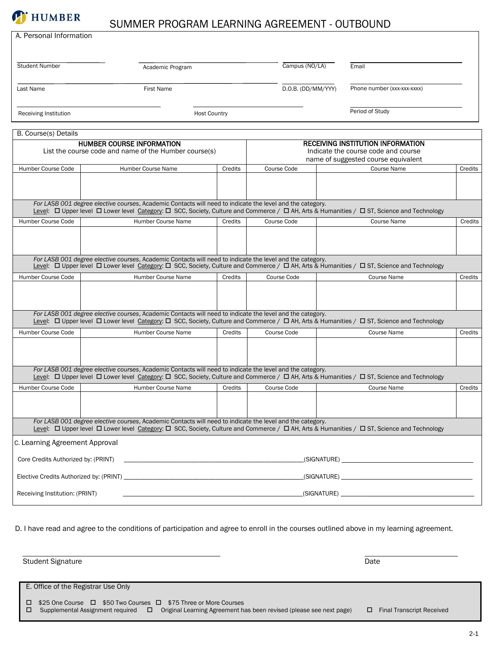

# SUMMER PROGRAM LEARNING AGREEMENT - OUTBOUND

| A. Personal Information             |                                                                                                                                                                                                                                                                      |                                                                                                                       |                    |  |                                                                            |         |  |  |
|-------------------------------------|----------------------------------------------------------------------------------------------------------------------------------------------------------------------------------------------------------------------------------------------------------------------|-----------------------------------------------------------------------------------------------------------------------|--------------------|--|----------------------------------------------------------------------------|---------|--|--|
|                                     |                                                                                                                                                                                                                                                                      |                                                                                                                       |                    |  |                                                                            |         |  |  |
| <b>Student Number</b>               | Academic Program                                                                                                                                                                                                                                                     |                                                                                                                       | Campus (NO/LA)     |  | Email                                                                      |         |  |  |
|                                     |                                                                                                                                                                                                                                                                      |                                                                                                                       |                    |  |                                                                            |         |  |  |
| Last Name                           | <b>First Name</b>                                                                                                                                                                                                                                                    |                                                                                                                       | D.O.B. (DD/MM/YYY) |  | Phone number (xxx-xxx-xxxx)                                                |         |  |  |
|                                     |                                                                                                                                                                                                                                                                      |                                                                                                                       |                    |  |                                                                            |         |  |  |
| Receiving Institution               | <b>Host Country</b>                                                                                                                                                                                                                                                  |                                                                                                                       |                    |  | Period of Study                                                            |         |  |  |
| B. Course(s) Details                |                                                                                                                                                                                                                                                                      |                                                                                                                       |                    |  |                                                                            |         |  |  |
|                                     | <b>HUMBER COURSE INFORMATION</b>                                                                                                                                                                                                                                     |                                                                                                                       |                    |  | <b>RECEIVING INSTITUTION INFORMATION</b>                                   |         |  |  |
|                                     | List the course code and name of the Humber course(s)                                                                                                                                                                                                                |                                                                                                                       |                    |  | Indicate the course code and course<br>name of suggested course equivalent |         |  |  |
| Humber Course Code                  | Humber Course Name                                                                                                                                                                                                                                                   | Credits                                                                                                               | Course Code        |  | <b>Course Name</b>                                                         | Credits |  |  |
|                                     |                                                                                                                                                                                                                                                                      |                                                                                                                       |                    |  |                                                                            |         |  |  |
|                                     |                                                                                                                                                                                                                                                                      |                                                                                                                       |                    |  |                                                                            |         |  |  |
|                                     | For LASB 001 degree elective courses, Academic Contacts will need to indicate the level and the category.<br>Level: [Upper level   Lower level Category: [ SCC, Society, Culture and Commerce / [ AH, Arts & Humanities / $\Box$ ST, Science and Technology          |                                                                                                                       |                    |  |                                                                            |         |  |  |
| Humber Course Code                  | Humber Course Name                                                                                                                                                                                                                                                   | Credits                                                                                                               | Course Code        |  | <b>Course Name</b>                                                         | Credits |  |  |
|                                     |                                                                                                                                                                                                                                                                      |                                                                                                                       |                    |  |                                                                            |         |  |  |
|                                     |                                                                                                                                                                                                                                                                      |                                                                                                                       |                    |  |                                                                            |         |  |  |
|                                     | For LASB 001 degree elective courses, Academic Contacts will need to indicate the level and the category.                                                                                                                                                            |                                                                                                                       |                    |  |                                                                            |         |  |  |
| Humber Course Code                  | Humber Course Name                                                                                                                                                                                                                                                   | Credits                                                                                                               | Course Code        |  | Course Name                                                                | Credits |  |  |
|                                     |                                                                                                                                                                                                                                                                      |                                                                                                                       |                    |  |                                                                            |         |  |  |
|                                     |                                                                                                                                                                                                                                                                      |                                                                                                                       |                    |  |                                                                            |         |  |  |
|                                     | For LASB 001 degree elective courses, Academic Contacts will need to indicate the level and the category.<br>Level: [O Upper level   D Lower level Category: [ SCC, Society, Culture and Commerce / $\Box$ AH, Arts & Humanities / $\Box$ ST, Science and Technology |                                                                                                                       |                    |  |                                                                            |         |  |  |
| Humber Course Code                  | Humber Course Name                                                                                                                                                                                                                                                   | Credits                                                                                                               | Course Code        |  | Course Name                                                                | Credits |  |  |
|                                     |                                                                                                                                                                                                                                                                      |                                                                                                                       |                    |  |                                                                            |         |  |  |
|                                     |                                                                                                                                                                                                                                                                      |                                                                                                                       |                    |  |                                                                            |         |  |  |
|                                     | For LASB 001 degree elective courses, Academic Contacts will need to indicate the level and the category.<br>Level: [O Upper level   D Lower level Category: [ SCC, Society, Culture and Commerce / $\Box$ AH, Arts & Humanities / $\Box$ ST, Science and Technology |                                                                                                                       |                    |  |                                                                            |         |  |  |
| Humber Course Code                  | Humber Course Name                                                                                                                                                                                                                                                   | Credits                                                                                                               | Course Code        |  | <b>Course Name</b>                                                         | Credits |  |  |
|                                     |                                                                                                                                                                                                                                                                      |                                                                                                                       |                    |  |                                                                            |         |  |  |
|                                     |                                                                                                                                                                                                                                                                      |                                                                                                                       |                    |  |                                                                            |         |  |  |
|                                     | For LASB 001 degree elective courses, Academic Contacts will need to indicate the level and the category.                                                                                                                                                            |                                                                                                                       |                    |  |                                                                            |         |  |  |
| c. Learning Agreement Approval      |                                                                                                                                                                                                                                                                      |                                                                                                                       |                    |  |                                                                            |         |  |  |
| Core Credits Authorized by: (PRINT) |                                                                                                                                                                                                                                                                      |                                                                                                                       |                    |  |                                                                            |         |  |  |
|                                     |                                                                                                                                                                                                                                                                      |                                                                                                                       |                    |  |                                                                            |         |  |  |
| Receiving Institution: (PRINT)      |                                                                                                                                                                                                                                                                      | <u> 1989 - Johann Barbara, martin amerikan basal dan berasal dalam basal dalam basal dalam basal dalam basal dala</u> |                    |  |                                                                            |         |  |  |

D. I have read and agree to the conditions of participation and agree to enroll in the courses outlined above in my learning agreement.

Student Signature Date and Student Signature Date and Student Signature Date Date and Student Signature Date Date and Date Date and Date Date and Date Date and Date Date and Date Date and Date Date and Date Date and Date D E. Office of the Registrar Use Only □ \$25 One Course □ \$50 Two Courses □ \$75 Three or More Courses  $\Box$  Supplemental Assignment required  $\Box$  Original Learning Agreement has been revised (please see next page)  $\Box$  Final Transcript Received